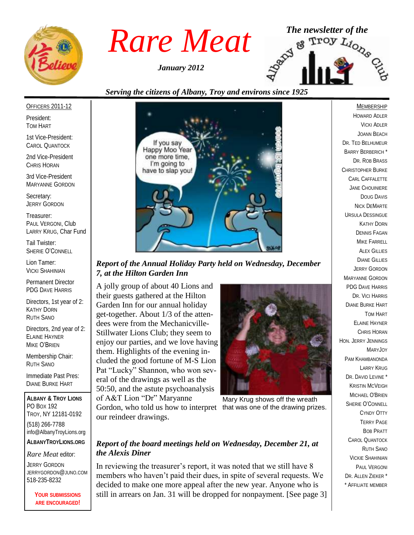

*January 2012*



# *Serving the citizens of Albany, Troy and environs since 1925*

#### OFFICERS 2011-12

President: TOM HART

1st Vice-President: CAROL QUANTOCK

2nd Vice-President CHRIS HORAN

3rd Vice-President MARYANNE GORDON

Secretary: JERRY GORDON

Treasurer: PAUL VERGONI, Club LARRY KRUG, Char Fund

Tail Twister: SHERIE O'CONNELL

Lion Tamer: VICKI SHAHINIAN

Permanent Director PDG DAVE HARRIS

Directors, 1st year of 2: KATHY DORN RUTH SANO

Directors, 2nd year of 2: ELAINE HAYNER MIKE O'BRIEN

Membership Chair: RUTH SANO

Immediate Past Pres: DIANE BURKE HART

**ALBANY & TROY LIONS** PO BOX 192 TROY, NY 12181-0192 (518) 266-7788 info@AlbanyTroyLions.org **ALBANYTROYLIONS.ORG**

*Rare Meat* editor:

JERRY GORDON JERRYGORDON@JUNO.COM 518-235-8232

> **YOUR SUBMISSIONS ARE ENCOURAGED!**



*Report of the Annual Holiday Party held on Wednesday, December 7, at the Hilton Garden Inn*

A jolly group of about 40 Lions and their guests gathered at the Hilton Garden Inn for our annual holiday get-together. About 1/3 of the attendees were from the Mechanicville-Stillwater Lions Club; they seem to enjoy our parties, and we love having them. Highlights of the evening included the good fortune of M-S Lion Pat "Lucky" Shannon, who won several of the drawings as well as the 50:50, and the astute psychoanalysis of A&T Lion "Dr" Maryanne Gordon, who told us how to interpret that was one of the drawing prizes.our reindeer drawings.



Mary Krug shows off the wreath

## *Report of the board meetings held on Wednesday, December 21, at the Alexis Diner*

In reviewing the treasurer's report, it was noted that we still have 8 members who haven't paid their dues, in spite of several requests. We decided to make one more appeal after the new year. Anyone who is still in arrears on Jan. 31 will be dropped for nonpayment. [See page 3]

HOWARD ADLER VICKI ADLER JOANN BEACH DR. TED BELHUMEUR BARRY BERBERICH \* DR. ROB BRASS CHRISTOPHER BURKE CARL CAFFALETTE JANE CHOUINIERE DOUG DAVIS NICK DEMARTE URSULA DESSINGUE KATHY DORN DENNIS FAGAN MIKE FARRELL ALEX GILLIES DIANE GILLIES JERRY GORDON MARYANNE GORDON PDG DAVE HARRIS DR. VICI HARRIS DIANE BURKE HART TOM HART ELAINE HAYNER CHRIS HORAN HON. JERRY JENNINGS MARYJOY PAM KHAMBANONDA LARRY KRUG DR. DAVID LEVINE<sup>\*</sup> KRISTIN MCVEIGH MICHAEL O'BRIEN SHERIE O'CONNELL CYNDY OTTY TERRY PAGE BOB PRATT CAROL QUANTOCK RUTH SANO VICKIE SHAHINIAN PAUL VERGONI DR. ALLEN ZIEKER \* \* AFFILIATE MEMBER

MEMBERSHIP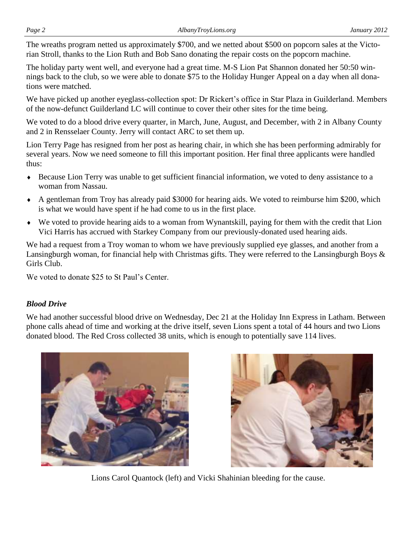The wreaths program netted us approximately \$700, and we netted about \$500 on popcorn sales at the Victorian Stroll, thanks to the Lion Ruth and Bob Sano donating the repair costs on the popcorn machine.

The holiday party went well, and everyone had a great time. M-S Lion Pat Shannon donated her 50:50 winnings back to the club, so we were able to donate \$75 to the Holiday Hunger Appeal on a day when all donations were matched.

We have picked up another eyeglass-collection spot: Dr Rickert's office in Star Plaza in Guilderland. Members of the now-defunct Guilderland LC will continue to cover their other sites for the time being.

We voted to do a blood drive every quarter, in March, June, August, and December, with 2 in Albany County and 2 in Rensselaer County. Jerry will contact ARC to set them up.

Lion Terry Page has resigned from her post as hearing chair, in which she has been performing admirably for several years. Now we need someone to fill this important position. Her final three applicants were handled thus:

- Because Lion Terry was unable to get sufficient financial information, we voted to deny assistance to a woman from Nassau.
- A gentleman from Troy has already paid \$3000 for hearing aids. We voted to reimburse him \$200, which is what we would have spent if he had come to us in the first place.
- We voted to provide hearing aids to a woman from Wynantskill, paying for them with the credit that Lion Vici Harris has accrued with Starkey Company from our previously-donated used hearing aids.

We had a request from a Troy woman to whom we have previously supplied eye glasses, and another from a Lansingburgh woman, for financial help with Christmas gifts. They were referred to the Lansingburgh Boys & Girls Club.

We voted to donate \$25 to St Paul's Center.

## *Blood Drive*

We had another successful blood drive on Wednesday, Dec 21 at the Holiday Inn Express in Latham. Between phone calls ahead of time and working at the drive itself, seven Lions spent a total of 44 hours and two Lions donated blood. The Red Cross collected 38 units, which is enough to potentially save 114 lives.





Lions Carol Quantock (left) and Vicki Shahinian bleeding for the cause.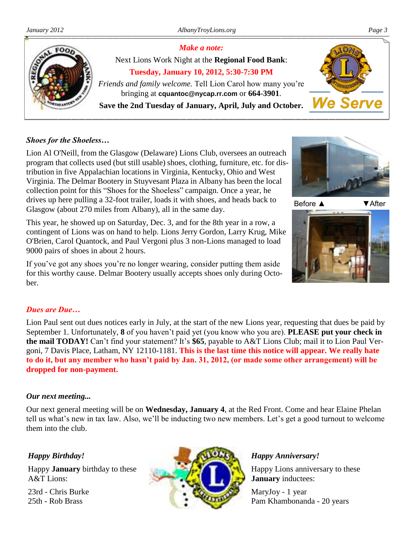

## *Shoes for the Shoeless…*

Lion Al O'Neill, from the Glasgow (Delaware) Lions Club, oversees an outreach program that collects used (but still usable) shoes, clothing, furniture, etc. for distribution in five Appalachian locations in Virginia, Kentucky, Ohio and West Virginia. The Delmar Bootery in Stuyvesant Plaza in Albany has been the local collection point for this "Shoes for the Shoeless" campaign. Once a year, he drives up here pulling a 32-foot trailer, loads it with shoes, and heads back to Glasgow (about 270 miles from Albany), all in the same day.

This year, he showed up on Saturday, Dec. 3, and for the 8th year in a row, a contingent of Lions was on hand to help. Lions Jerry Gordon, Larry Krug, Mike O'Brien, Carol Quantock, and Paul Vergoni plus 3 non-Lions managed to load 9000 pairs of shoes in about 2 hours.

If you've got any shoes you're no longer wearing, consider putting them aside for this worthy cause. Delmar Bootery usually accepts shoes only during October.



Before ▲ ▼ After



## *Dues are Due…*

Lion Paul sent out dues notices early in July, at the start of the new Lions year, requesting that dues be paid by September 1. Unfortunately, **8** of you haven't paid yet (you know who you are). **PLEASE put your check in the mail TODAY!** Can't find your statement? It's **\$65**, payable to A&T Lions Club; mail it to Lion Paul Vergoni, 7 Davis Place, Latham, NY 12110-1181. **This is the last time this notice will appear. We really hate to do it, but any member who hasn't paid by Jan. 31, 2012, (or made some other arrangement) will be dropped for non-payment.**

### *Our next meeting...*

Our next general meeting will be on **Wednesday, January 4**, at the Red Front. Come and hear Elaine Phelan tell us what's new in tax law. Also, we'll be inducting two new members. Let's get a good turnout to welcome them into the club.

## *Happy Birthday!*

Happy **January** birthday to these A&T Lions:

23rd - Chris Burke 25th - Rob Brass



## *Happy Anniversary!*

Happy Lions anniversary to these **January** inductees:

MaryJoy - 1 year Pam Khambonanda - 20 years